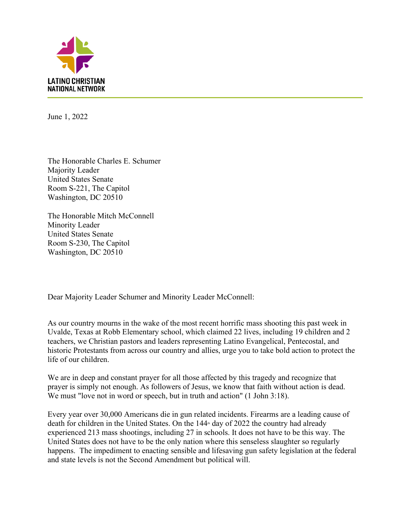

June 1, 2022

The Honorable Charles E. Schumer Majority Leader United States Senate Room S-221, The Capitol Washington, DC 20510

The Honorable Mitch McConnell Minority Leader United States Senate Room S-230, The Capitol Washington, DC 20510

Dear Majority Leader Schumer and Minority Leader McConnell:

As our country mourns in the wake of the most recent horrific mass shooting this past week in Uvalde, Texas at Robb Elementary school, which claimed 22 lives, including 19 children and 2 teachers, we Christian pastors and leaders representing Latino Evangelical, Pentecostal, and historic Protestants from across our country and allies, urge you to take bold action to protect the life of our children.

We are in deep and constant prayer for all those affected by this tragedy and recognize that prayer is simply not enough. As followers of Jesus, we know that faith without action is dead. We must "love not in word or speech, but in truth and action" (1 John 3:18).

Every year over 30,000 Americans die in gun related incidents. Firearms are a leading cause of death for children in the United States. On the  $144<sup>th</sup>$  day of 2022 the country had already experienced 213 mass shootings, including 27 in schools. It does not have to be this way. The United States does not have to be the only nation where this senseless slaughter so regularly happens. The impediment to enacting sensible and lifesaving gun safety legislation at the federal and state levels is not the Second Amendment but political will.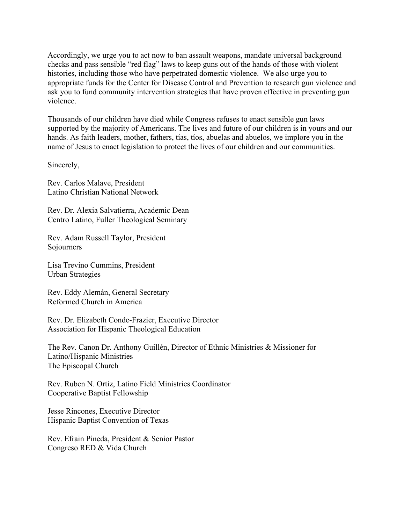Accordingly, we urge you to act now to ban assault weapons, mandate universal background checks and pass sensible "red flag" laws to keep guns out of the hands of those with violent histories, including those who have perpetrated domestic violence. We also urge you to appropriate funds for the Center for Disease Control and Prevention to research gun violence and ask you to fund community intervention strategies that have proven effective in preventing gun violence.

Thousands of our children have died while Congress refuses to enact sensible gun laws supported by the majority of Americans. The lives and future of our children is in yours and our hands. As faith leaders, mother, fathers, tías, tíos, abuelas and abuelos, we implore you in the name of Jesus to enact legislation to protect the lives of our children and our communities.

Sincerely,

Rev. Carlos Malave, President Latino Christian National Network

Rev. Dr. Alexia Salvatierra, Academic Dean Centro Latino, Fuller Theological Seminary

Rev. Adam Russell Taylor, President Sojourners

Lisa Trevino Cummins, President Urban Strategies

Rev. Eddy Alemán, General Secretary Reformed Church in America

Rev. Dr. Elizabeth Conde-Frazier, Executive Director Association for Hispanic Theological Education

The Rev. Canon Dr. Anthony Guillén, Director of Ethnic Ministries & Missioner for Latino/Hispanic Ministries The Episcopal Church

Rev. Ruben N. Ortiz, Latino Field Ministries Coordinator Cooperative Baptist Fellowship

Jesse Rincones, Executive Director Hispanic Baptist Convention of Texas

Rev. Efrain Pineda, President & Senior Pastor Congreso RED & Vida Church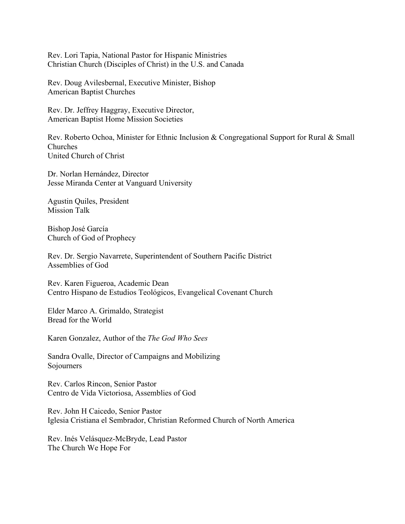Rev. Lori Tapia, National Pastor for Hispanic Ministries Christian Church (Disciples of Christ) in the U.S. and Canada

Rev. Doug Avilesbernal, Executive Minister, Bishop American Baptist Churches

Rev. Dr. Jeffrey Haggray, Executive Director, American Baptist Home Mission Societies

Rev. Roberto Ochoa, Minister for Ethnic Inclusion & Congregational Support for Rural & Small Churches United Church of Christ

Dr. Norlan Hernández, Director Jesse Miranda Center at Vanguard University

Agustin Quiles, President Mission Talk

Bishop José García Church of God of Prophecy

Rev. Dr. Sergio Navarrete, Superintendent of Southern Pacific District Assemblies of God

Rev. Karen Figueroa, Academic Dean Centro Hispano de Estudios Teológicos, Evangelical Covenant Church

Elder Marco A. Grimaldo, Strategist Bread for the World

Karen Gonzalez, Author of the *The God Who Sees*

Sandra Ovalle, Director of Campaigns and Mobilizing Sojourners

Rev. Carlos Rincon, Senior Pastor Centro de Vida Victoriosa, Assemblies of God

Rev. John H Caicedo, Senior Pastor Iglesia Cristiana el Sembrador, Christian Reformed Church of North America

Rev. Inés Velásquez-McBryde, Lead Pastor The Church We Hope For